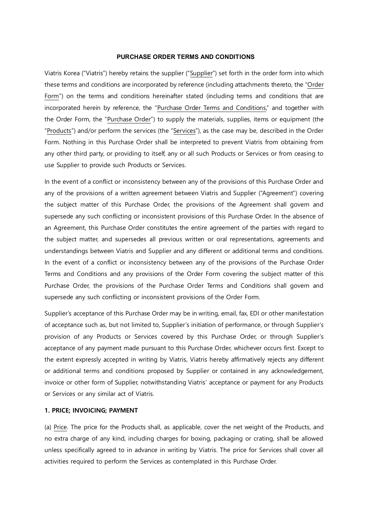## **PURCHASE ORDER TERMS AND CONDITIONS**

Viatris Korea ("Viatris") hereby retains the supplier ("Supplier") set forth in the order form into which these terms and conditions are incorporated by reference (including attachments thereto, the "Order Form") on the terms and conditions hereinafter stated (including terms and conditions that are incorporated herein by reference, the "Purchase Order Terms and Conditions," and together with the Order Form, the "Purchase Order") to supply the materials, supplies, items or equipment (the "Products") and/or perform the services (the "Services"), as the case may be, described in the Order Form. Nothing in this Purchase Order shall be interpreted to prevent Viatris from obtaining from any other third party, or providing to itself, any or all such Products or Services or from ceasing to use Supplier to provide such Products or Services.

In the event of a conflict or inconsistency between any of the provisions of this Purchase Order and any of the provisions of a written agreement between Viatris and Supplier ("Agreement") covering the subject matter of this Purchase Order, the provisions of the Agreement shall govern and supersede any such conflicting or inconsistent provisions of this Purchase Order. In the absence of an Agreement, this Purchase Order constitutes the entire agreement of the parties with regard to the subject matter, and supersedes all previous written or oral representations, agreements and understandings between Viatris and Supplier and any different or additional terms and conditions. In the event of a conflict or inconsistency between any of the provisions of the Purchase Order Terms and Conditions and any provisions of the Order Form covering the subject matter of this Purchase Order, the provisions of the Purchase Order Terms and Conditions shall govern and supersede any such conflicting or inconsistent provisions of the Order Form.

Supplier's acceptance of this Purchase Order may be in writing, email, fax, EDI or other manifestation of acceptance such as, but not limited to, Supplier's initiation of performance, or through Supplier's provision of any Products or Services covered by this Purchase Order, or through Supplier's acceptance of any payment made pursuant to this Purchase Order, whichever occurs first. Except to the extent expressly accepted in writing by Viatris, Viatris hereby affirmatively rejects any different or additional terms and conditions proposed by Supplier or contained in any acknowledgement, invoice or other form of Supplier, notwithstanding Viatris' acceptance or payment for any Products or Services or any similar act of Viatris.

# **1. PRICE; INVOICING; PAYMENT**

(a) Price. The price for the Products shall, as applicable, cover the net weight of the Products, and no extra charge of any kind, including charges for boxing, packaging or crating, shall be allowed unless specifically agreed to in advance in writing by Viatris. The price for Services shall cover all activities required to perform the Services as contemplated in this Purchase Order.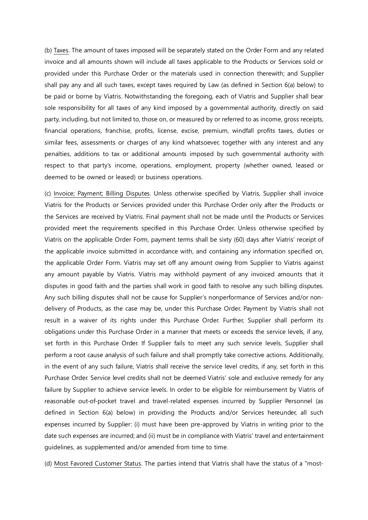(b) Taxes. The amount of taxes imposed will be separately stated on the Order Form and any related invoice and all amounts shown will include all taxes applicable to the Products or Services sold or provided under this Purchase Order or the materials used in connection therewith; and Supplier shall pay any and all such taxes, except taxes required by Law (as defined in Section 6(a) below) to be paid or borne by Viatris. Notwithstanding the foregoing, each of Viatris and Supplier shall bear sole responsibility for all taxes of any kind imposed by a governmental authority, directly on said party, including, but not limited to, those on, or measured by or referred to as income, gross receipts, financial operations, franchise, profits, license, excise, premium, windfall profits taxes, duties or similar fees, assessments or charges of any kind whatsoever, together with any interest and any penalties, additions to tax or additional amounts imposed by such governmental authority with respect to that party's income, operations, employment, property (whether owned, leased or deemed to be owned or leased) or business operations.

(c) Invoice; Payment; Billing Disputes. Unless otherwise specified by Viatris, Supplier shall invoice Viatris for the Products or Services provided under this Purchase Order only after the Products or the Services are received by Viatris. Final payment shall not be made until the Products or Services provided meet the requirements specified in this Purchase Order. Unless otherwise specified by Viatris on the applicable Order Form, payment terms shall be sixty (60) days after Viatris' receipt of the applicable invoice submitted in accordance with, and containing any information specified on, the applicable Order Form. Viatris may set off any amount owing from Supplier to Viatris against any amount payable by Viatris. Viatris may withhold payment of any invoiced amounts that it disputes in good faith and the parties shall work in good faith to resolve any such billing disputes. Any such billing disputes shall not be cause for Supplier's nonperformance of Services and/or nondelivery of Products, as the case may be, under this Purchase Order. Payment by Viatris shall not result in a waiver of its rights under this Purchase Order. Further, Supplier shall perform its obligations under this Purchase Order in a manner that meets or exceeds the service levels, if any, set forth in this Purchase Order. If Supplier fails to meet any such service levels, Supplier shall perform a root cause analysis of such failure and shall promptly take corrective actions. Additionally, in the event of any such failure, Viatris shall receive the service level credits, if any, set forth in this Purchase Order. Service level credits shall not be deemed Viatris' sole and exclusive remedy for any failure by Supplier to achieve service levels. In order to be eligible for reimbursement by Viatris of reasonable out-of-pocket travel and travel-related expenses incurred by Supplier Personnel (as defined in Section 6(a) below) in providing the Products and/or Services hereunder, all such expenses incurred by Supplier: (i) must have been pre-approved by Viatris in writing prior to the date such expenses are incurred; and (ii) must be in compliance with Viatris' travel and entertainment guidelines, as supplemented and/or amended from time to time.

(d) Most Favored Customer Status. The parties intend that Viatris shall have the status of a "most-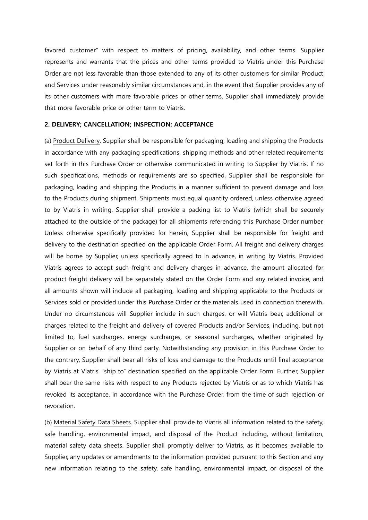favored customer" with respect to matters of pricing, availability, and other terms. Supplier represents and warrants that the prices and other terms provided to Viatris under this Purchase Order are not less favorable than those extended to any of its other customers for similar Product and Services under reasonably similar circumstances and, in the event that Supplier provides any of its other customers with more favorable prices or other terms, Supplier shall immediately provide that more favorable price or other term to Viatris.

#### **2. DELIVERY; CANCELLATION; INSPECTION; ACCEPTANCE**

(a) Product Delivery. Supplier shall be responsible for packaging, loading and shipping the Products in accordance with any packaging specifications, shipping methods and other related requirements set forth in this Purchase Order or otherwise communicated in writing to Supplier by Viatris. If no such specifications, methods or requirements are so specified, Supplier shall be responsible for packaging, loading and shipping the Products in a manner sufficient to prevent damage and loss to the Products during shipment. Shipments must equal quantity ordered, unless otherwise agreed to by Viatris in writing. Supplier shall provide a packing list to Viatris (which shall be securely attached to the outside of the package) for all shipments referencing this Purchase Order number. Unless otherwise specifically provided for herein, Supplier shall be responsible for freight and delivery to the destination specified on the applicable Order Form. All freight and delivery charges will be borne by Supplier, unless specifically agreed to in advance, in writing by Viatris. Provided Viatris agrees to accept such freight and delivery charges in advance, the amount allocated for product freight delivery will be separately stated on the Order Form and any related invoice, and all amounts shown will include all packaging, loading and shipping applicable to the Products or Services sold or provided under this Purchase Order or the materials used in connection therewith. Under no circumstances will Supplier include in such charges, or will Viatris bear, additional or charges related to the freight and delivery of covered Products and/or Services, including, but not limited to, fuel surcharges, energy surcharges, or seasonal surcharges, whether originated by Supplier or on behalf of any third party. Notwithstanding any provision in this Purchase Order to the contrary, Supplier shall bear all risks of loss and damage to the Products until final acceptance by Viatris at Viatris' "ship to" destination specified on the applicable Order Form. Further, Supplier shall bear the same risks with respect to any Products rejected by Viatris or as to which Viatris has revoked its acceptance, in accordance with the Purchase Order, from the time of such rejection or revocation.

(b) Material Safety Data Sheets. Supplier shall provide to Viatris all information related to the safety, safe handling, environmental impact, and disposal of the Product including, without limitation, material safety data sheets. Supplier shall promptly deliver to Viatris, as it becomes available to Supplier, any updates or amendments to the information provided pursuant to this Section and any new information relating to the safety, safe handling, environmental impact, or disposal of the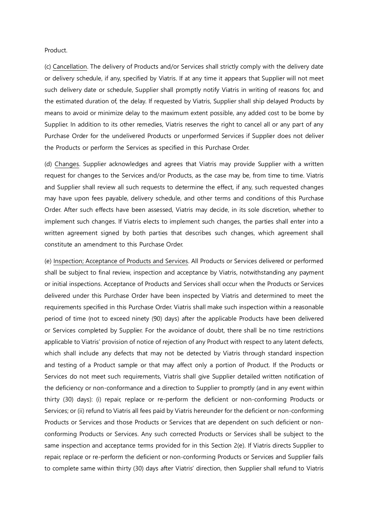Product.

(c) Cancellation. The delivery of Products and/or Services shall strictly comply with the delivery date or delivery schedule, if any, specified by Viatris. If at any time it appears that Supplier will not meet such delivery date or schedule, Supplier shall promptly notify Viatris in writing of reasons for, and the estimated duration of, the delay. If requested by Viatris, Supplier shall ship delayed Products by means to avoid or minimize delay to the maximum extent possible, any added cost to be borne by Supplier. In addition to its other remedies, Viatris reserves the right to cancel all or any part of any Purchase Order for the undelivered Products or unperformed Services if Supplier does not deliver the Products or perform the Services as specified in this Purchase Order.

(d) Changes. Supplier acknowledges and agrees that Viatris may provide Supplier with a written request for changes to the Services and/or Products, as the case may be, from time to time. Viatris and Supplier shall review all such requests to determine the effect, if any, such requested changes may have upon fees payable, delivery schedule, and other terms and conditions of this Purchase Order. After such effects have been assessed, Viatris may decide, in its sole discretion, whether to implement such changes. If Viatris elects to implement such changes, the parties shall enter into a written agreement signed by both parties that describes such changes, which agreement shall constitute an amendment to this Purchase Order.

(e) Inspection; Acceptance of Products and Services. All Products or Services delivered or performed shall be subject to final review, inspection and acceptance by Viatris, notwithstanding any payment or initial inspections. Acceptance of Products and Services shall occur when the Products or Services delivered under this Purchase Order have been inspected by Viatris and determined to meet the requirements specified in this Purchase Order. Viatris shall make such inspection within a reasonable period of time (not to exceed ninety (90) days) after the applicable Products have been delivered or Services completed by Supplier. For the avoidance of doubt, there shall be no time restrictions applicable to Viatris' provision of notice of rejection of any Product with respect to any latent defects, which shall include any defects that may not be detected by Viatris through standard inspection and testing of a Product sample or that may affect only a portion of Product. If the Products or Services do not meet such requirements, Viatris shall give Supplier detailed written notification of the deficiency or non-conformance and a direction to Supplier to promptly (and in any event within thirty (30) days): (i) repair, replace or re-perform the deficient or non-conforming Products or Services; or (ii) refund to Viatris all fees paid by Viatris hereunder for the deficient or non-conforming Products or Services and those Products or Services that are dependent on such deficient or nonconforming Products or Services. Any such corrected Products or Services shall be subject to the same inspection and acceptance terms provided for in this Section 2(e). If Viatris directs Supplier to repair, replace or re-perform the deficient or non-conforming Products or Services and Supplier fails to complete same within thirty (30) days after Viatris' direction, then Supplier shall refund to Viatris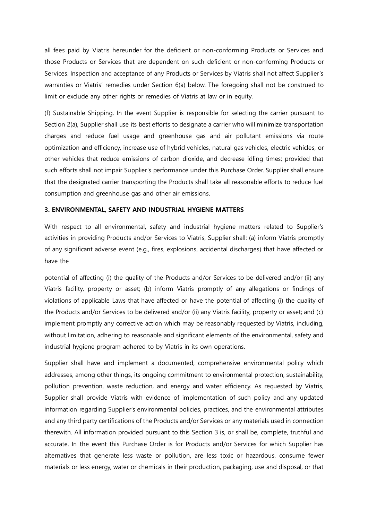all fees paid by Viatris hereunder for the deficient or non-conforming Products or Services and those Products or Services that are dependent on such deficient or non-conforming Products or Services. Inspection and acceptance of any Products or Services by Viatris shall not affect Supplier's warranties or Viatris' remedies under Section 6(a) below. The foregoing shall not be construed to limit or exclude any other rights or remedies of Viatris at law or in equity.

(f) Sustainable Shipping. In the event Supplier is responsible for selecting the carrier pursuant to Section 2(a), Supplier shall use its best efforts to designate a carrier who will minimize transportation charges and reduce fuel usage and greenhouse gas and air pollutant emissions via route optimization and efficiency, increase use of hybrid vehicles, natural gas vehicles, electric vehicles, or other vehicles that reduce emissions of carbon dioxide, and decrease idling times; provided that such efforts shall not impair Supplier's performance under this Purchase Order. Supplier shall ensure that the designated carrier transporting the Products shall take all reasonable efforts to reduce fuel consumption and greenhouse gas and other air emissions.

### **3. ENVIRONMENTAL, SAFETY AND INDUSTRIAL HYGIENE MATTERS**

With respect to all environmental, safety and industrial hygiene matters related to Supplier's activities in providing Products and/or Services to Viatris, Supplier shall: (a) inform Viatris promptly of any significant adverse event (e.g., fires, explosions, accidental discharges) that have affected or have the

potential of affecting (i) the quality of the Products and/or Services to be delivered and/or (ii) any Viatris facility, property or asset; (b) inform Viatris promptly of any allegations or findings of violations of applicable Laws that have affected or have the potential of affecting (i) the quality of the Products and/or Services to be delivered and/or (ii) any Viatris facility, property or asset; and (c) implement promptly any corrective action which may be reasonably requested by Viatris, including, without limitation, adhering to reasonable and significant elements of the environmental, safety and industrial hygiene program adhered to by Viatris in its own operations.

Supplier shall have and implement a documented, comprehensive environmental policy which addresses, among other things, its ongoing commitment to environmental protection, sustainability, pollution prevention, waste reduction, and energy and water efficiency. As requested by Viatris, Supplier shall provide Viatris with evidence of implementation of such policy and any updated information regarding Supplier's environmental policies, practices, and the environmental attributes and any third party certifications of the Products and/or Services or any materials used in connection therewith. All information provided pursuant to this Section 3 is, or shall be, complete, truthful and accurate. In the event this Purchase Order is for Products and/or Services for which Supplier has alternatives that generate less waste or pollution, are less toxic or hazardous, consume fewer materials or less energy, water or chemicals in their production, packaging, use and disposal, or that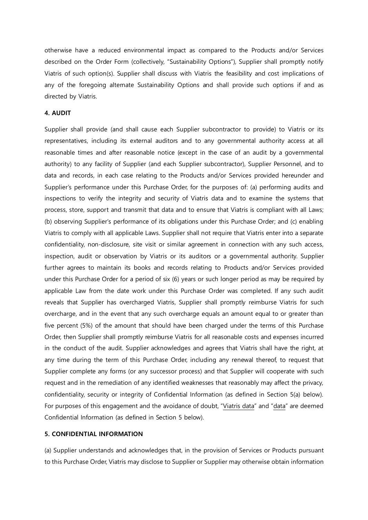otherwise have a reduced environmental impact as compared to the Products and/or Services described on the Order Form (collectively, "Sustainability Options"), Supplier shall promptly notify Viatris of such option(s). Supplier shall discuss with Viatris the feasibility and cost implications of any of the foregoing alternate Sustainability Options and shall provide such options if and as directed by Viatris.

## **4. AUDIT**

Supplier shall provide (and shall cause each Supplier subcontractor to provide) to Viatris or its representatives, including its external auditors and to any governmental authority access at all reasonable times and after reasonable notice (except in the case of an audit by a governmental authority) to any facility of Supplier (and each Supplier subcontractor), Supplier Personnel, and to data and records, in each case relating to the Products and/or Services provided hereunder and Supplier's performance under this Purchase Order, for the purposes of: (a) performing audits and inspections to verify the integrity and security of Viatris data and to examine the systems that process, store, support and transmit that data and to ensure that Viatris is compliant with all Laws; (b) observing Supplier's performance of its obligations under this Purchase Order; and (c) enabling Viatris to comply with all applicable Laws. Supplier shall not require that Viatris enter into a separate confidentiality, non-disclosure, site visit or similar agreement in connection with any such access, inspection, audit or observation by Viatris or its auditors or a governmental authority. Supplier further agrees to maintain its books and records relating to Products and/or Services provided under this Purchase Order for a period of six (6) years or such longer period as may be required by applicable Law from the date work under this Purchase Order was completed. If any such audit reveals that Supplier has overcharged Viatris, Supplier shall promptly reimburse Viatris for such overcharge, and in the event that any such overcharge equals an amount equal to or greater than five percent (5%) of the amount that should have been charged under the terms of this Purchase Order, then Supplier shall promptly reimburse Viatris for all reasonable costs and expenses incurred in the conduct of the audit. Supplier acknowledges and agrees that Viatris shall have the right, at any time during the term of this Purchase Order, including any renewal thereof, to request that Supplier complete any forms (or any successor process) and that Supplier will cooperate with such request and in the remediation of any identified weaknesses that reasonably may affect the privacy, confidentiality, security or integrity of Confidential Information (as defined in Section 5(a) below). For purposes of this engagement and the avoidance of doubt, "Viatris data" and "data" are deemed Confidential Information (as defined in Section 5 below).

## **5. CONFIDENTIAL INFORMATION**

(a) Supplier understands and acknowledges that, in the provision of Services or Products pursuant to this Purchase Order, Viatris may disclose to Supplier or Supplier may otherwise obtain information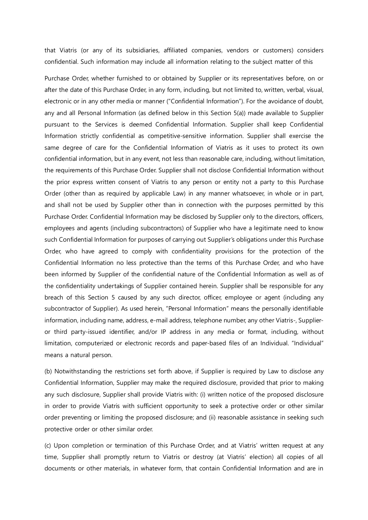that Viatris (or any of its subsidiaries, affiliated companies, vendors or customers) considers confidential. Such information may include all information relating to the subject matter of this

Purchase Order, whether furnished to or obtained by Supplier or its representatives before, on or after the date of this Purchase Order, in any form, including, but not limited to, written, verbal, visual, electronic or in any other media or manner ("Confidential Information"). For the avoidance of doubt, any and all Personal Information (as defined below in this Section 5(a)) made available to Supplier pursuant to the Services is deemed Confidential Information. Supplier shall keep Confidential Information strictly confidential as competitive-sensitive information. Supplier shall exercise the same degree of care for the Confidential Information of Viatris as it uses to protect its own confidential information, but in any event, not less than reasonable care, including, without limitation, the requirements of this Purchase Order. Supplier shall not disclose Confidential Information without the prior express written consent of Viatris to any person or entity not a party to this Purchase Order (other than as required by applicable Law) in any manner whatsoever, in whole or in part, and shall not be used by Supplier other than in connection with the purposes permitted by this Purchase Order. Confidential Information may be disclosed by Supplier only to the directors, officers, employees and agents (including subcontractors) of Supplier who have a legitimate need to know such Confidential Information for purposes of carrying out Supplier's obligations under this Purchase Order, who have agreed to comply with confidentiality provisions for the protection of the Confidential Information no less protective than the terms of this Purchase Order, and who have been informed by Supplier of the confidential nature of the Confidential Information as well as of the confidentiality undertakings of Supplier contained herein. Supplier shall be responsible for any breach of this Section 5 caused by any such director, officer, employee or agent (including any subcontractor of Supplier). As used herein, "Personal Information" means the personally identifiable information, including name, address, e-mail address, telephone number, any other Viatris-, Supplieror third party-issued identifier, and/or IP address in any media or format, including, without limitation, computerized or electronic records and paper-based files of an Individual. "Individual" means a natural person.

(b) Notwithstanding the restrictions set forth above, if Supplier is required by Law to disclose any Confidential Information, Supplier may make the required disclosure, provided that prior to making any such disclosure, Supplier shall provide Viatris with: (i) written notice of the proposed disclosure in order to provide Viatris with sufficient opportunity to seek a protective order or other similar order preventing or limiting the proposed disclosure; and (ii) reasonable assistance in seeking such protective order or other similar order.

(c) Upon completion or termination of this Purchase Order, and at Viatris' written request at any time, Supplier shall promptly return to Viatris or destroy (at Viatris' election) all copies of all documents or other materials, in whatever form, that contain Confidential Information and are in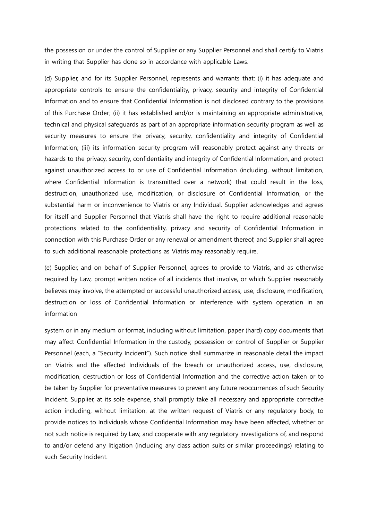the possession or under the control of Supplier or any Supplier Personnel and shall certify to Viatris in writing that Supplier has done so in accordance with applicable Laws.

(d) Supplier, and for its Supplier Personnel, represents and warrants that: (i) it has adequate and appropriate controls to ensure the confidentiality, privacy, security and integrity of Confidential Information and to ensure that Confidential Information is not disclosed contrary to the provisions of this Purchase Order; (ii) it has established and/or is maintaining an appropriate administrative, technical and physical safeguards as part of an appropriate information security program as well as security measures to ensure the privacy, security, confidentiality and integrity of Confidential Information; (iii) its information security program will reasonably protect against any threats or hazards to the privacy, security, confidentiality and integrity of Confidential Information, and protect against unauthorized access to or use of Confidential Information (including, without limitation, where Confidential Information is transmitted over a network) that could result in the loss, destruction, unauthorized use, modification, or disclosure of Confidential Information, or the substantial harm or inconvenience to Viatris or any Individual. Supplier acknowledges and agrees for itself and Supplier Personnel that Viatris shall have the right to require additional reasonable protections related to the confidentiality, privacy and security of Confidential Information in connection with this Purchase Order or any renewal or amendment thereof, and Supplier shall agree to such additional reasonable protections as Viatris may reasonably require.

(e) Supplier, and on behalf of Supplier Personnel, agrees to provide to Viatris, and as otherwise required by Law, prompt written notice of all incidents that involve, or which Supplier reasonably believes may involve, the attempted or successful unauthorized access, use, disclosure, modification, destruction or loss of Confidential Information or interference with system operation in an information

system or in any medium or format, including without limitation, paper (hard) copy documents that may affect Confidential Information in the custody, possession or control of Supplier or Supplier Personnel (each, a "Security Incident"). Such notice shall summarize in reasonable detail the impact on Viatris and the affected Individuals of the breach or unauthorized access, use, disclosure, modification, destruction or loss of Confidential Information and the corrective action taken or to be taken by Supplier for preventative measures to prevent any future reoccurrences of such Security Incident. Supplier, at its sole expense, shall promptly take all necessary and appropriate corrective action including, without limitation, at the written request of Viatris or any regulatory body, to provide notices to Individuals whose Confidential Information may have been affected, whether or not such notice is required by Law, and cooperate with any regulatory investigations of, and respond to and/or defend any litigation (including any class action suits or similar proceedings) relating to such Security Incident.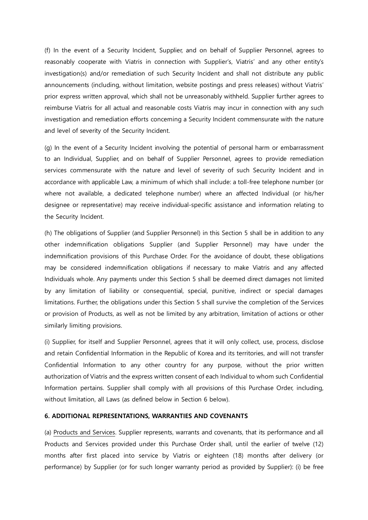(f) In the event of a Security Incident, Supplier, and on behalf of Supplier Personnel, agrees to reasonably cooperate with Viatris in connection with Supplier's, Viatris' and any other entity's investigation(s) and/or remediation of such Security Incident and shall not distribute any public announcements (including, without limitation, website postings and press releases) without Viatris' prior express written approval, which shall not be unreasonably withheld. Supplier further agrees to reimburse Viatris for all actual and reasonable costs Viatris may incur in connection with any such investigation and remediation efforts concerning a Security Incident commensurate with the nature and level of severity of the Security Incident.

(g) In the event of a Security Incident involving the potential of personal harm or embarrassment to an Individual, Supplier, and on behalf of Supplier Personnel, agrees to provide remediation services commensurate with the nature and level of severity of such Security Incident and in accordance with applicable Law, a minimum of which shall include: a toll-free telephone number (or where not available, a dedicated telephone number) where an affected Individual (or his/her designee or representative) may receive individual-specific assistance and information relating to the Security Incident.

(h) The obligations of Supplier (and Supplier Personnel) in this Section 5 shall be in addition to any other indemnification obligations Supplier (and Supplier Personnel) may have under the indemnification provisions of this Purchase Order. For the avoidance of doubt, these obligations may be considered indemnification obligations if necessary to make Viatris and any affected Individuals whole. Any payments under this Section 5 shall be deemed direct damages not limited by any limitation of liability or consequential, special, punitive, indirect or special damages limitations. Further, the obligations under this Section 5 shall survive the completion of the Services or provision of Products, as well as not be limited by any arbitration, limitation of actions or other similarly limiting provisions.

(i) Supplier, for itself and Supplier Personnel, agrees that it will only collect, use, process, disclose and retain Confidential Information in the Republic of Korea and its territories, and will not transfer Confidential Information to any other country for any purpose, without the prior written authorization of Viatris and the express written consent of each Individual to whom such Confidential Information pertains. Supplier shall comply with all provisions of this Purchase Order, including, without limitation, all Laws (as defined below in Section 6 below).

### **6. ADDITIONAL REPRESENTATIONS, WARRANTIES AND COVENANTS**

(a) Products and Services. Supplier represents, warrants and covenants, that its performance and all Products and Services provided under this Purchase Order shall, until the earlier of twelve (12) months after first placed into service by Viatris or eighteen (18) months after delivery (or performance) by Supplier (or for such longer warranty period as provided by Supplier): (i) be free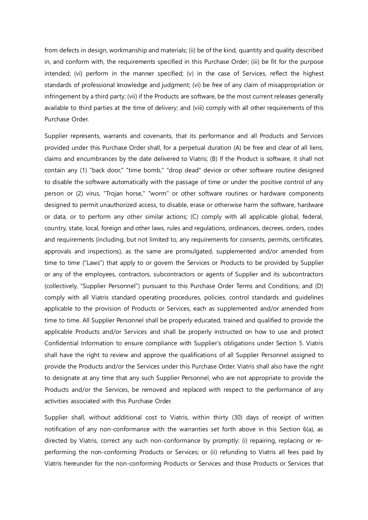from defects in design, workmanship and materials; (ii) be of the kind, quantity and quality described in, and conform with, the requirements specified in this Purchase Order; (iii) be fit for the purpose intended; (vi) perform in the manner specified; (v) in the case of Services, reflect the highest standards of professional knowledge and judgment; (vi) be free of any claim of misappropriation or infringement by a third party; (vii) if the Products are software, be the most current releases generally available to third parties at the time of delivery; and (viii) comply with all other requirements of this Purchase Order.

Supplier represents, warrants and covenants, that its performance and all Products and Services provided under this Purchase Order shall, for a perpetual duration (A) be free and clear of all liens, claims and encumbrances by the date delivered to Viatris; (B) If the Product is software, it shall not contain any (1) "back door," "time bomb," "drop dead" device or other software routine designed to disable the software automatically with the passage of time or under the positive control of any person or (2) virus, "Trojan horse," "worm" or other software routines or hardware components designed to permit unauthorized access, to disable, erase or otherwise harm the software, hardware or data, or to perform any other similar actions; (C) comply with all applicable global, federal, country, state, local, foreign and other laws, rules and regulations, ordinances, decrees, orders, codes and requirements (including, but not limited to, any requirements for consents, permits, certificates, approvals and inspections), as the same are promulgated, supplemented and/or amended from time to time ("Laws") that apply to or govern the Services or Products to be provided by Supplier or any of the employees, contractors, subcontractors or agents of Supplier and its subcontractors (collectively, "Supplier Personnel") pursuant to this Purchase Order Terms and Conditions; and (D) comply with all Viatris standard operating procedures, policies, control standards and guidelines applicable to the provision of Products or Services, each as supplemented and/or amended from time to time. All Supplier Personnel shall be properly educated, trained and qualified to provide the applicable Products and/or Services and shall be properly instructed on how to use and protect Confidential Information to ensure compliance with Supplier's obligations under Section 5. Viatris shall have the right to review and approve the qualifications of all Supplier Personnel assigned to provide the Products and/or the Services under this Purchase Order. Viatris shall also have the right to designate at any time that any such Supplier Personnel, who are not appropriate to provide the Products and/or the Services, be removed and replaced with respect to the performance of any activities associated with this Purchase Order.

Supplier shall, without additional cost to Viatris, within thirty (30) days of receipt of written notification of any non-conformance with the warranties set forth above in this Section 6(a), as directed by Viatris, correct any such non-conformance by promptly: (i) repairing, replacing or reperforming the non-conforming Products or Services; or (ii) refunding to Viatris all fees paid by Viatris hereunder for the non-conforming Products or Services and those Products or Services that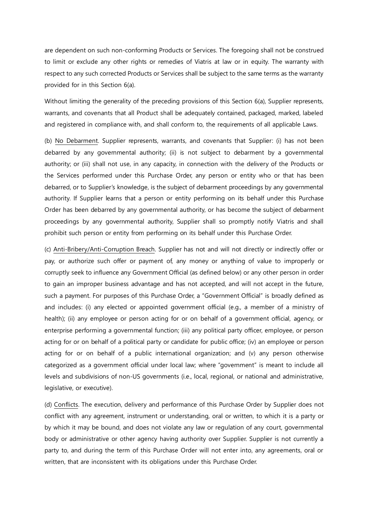are dependent on such non-conforming Products or Services. The foregoing shall not be construed to limit or exclude any other rights or remedies of Viatris at law or in equity. The warranty with respect to any such corrected Products or Services shall be subject to the same terms as the warranty provided for in this Section 6(a).

Without limiting the generality of the preceding provisions of this Section 6(a), Supplier represents, warrants, and covenants that all Product shall be adequately contained, packaged, marked, labeled and registered in compliance with, and shall conform to, the requirements of all applicable Laws.

(b) No Debarment. Supplier represents, warrants, and covenants that Supplier: (i) has not been debarred by any governmental authority; (ii) is not subject to debarment by a governmental authority; or (iii) shall not use, in any capacity, in connection with the delivery of the Products or the Services performed under this Purchase Order, any person or entity who or that has been debarred, or to Supplier's knowledge, is the subject of debarment proceedings by any governmental authority. If Supplier learns that a person or entity performing on its behalf under this Purchase Order has been debarred by any governmental authority, or has become the subject of debarment proceedings by any governmental authority, Supplier shall so promptly notify Viatris and shall prohibit such person or entity from performing on its behalf under this Purchase Order.

(c) Anti-Bribery/Anti-Corruption Breach. Supplier has not and will not directly or indirectly offer or pay, or authorize such offer or payment of, any money or anything of value to improperly or corruptly seek to influence any Government Official (as defined below) or any other person in order to gain an improper business advantage and has not accepted, and will not accept in the future, such a payment. For purposes of this Purchase Order, a "Government Official" is broadly defined as and includes: (i) any elected or appointed government official (e.g., a member of a ministry of health); (ii) any employee or person acting for or on behalf of a government official, agency, or enterprise performing a governmental function; (iii) any political party officer, employee, or person acting for or on behalf of a political party or candidate for public office; (iv) an employee or person acting for or on behalf of a public international organization; and (v) any person otherwise categorized as a government official under local law; where "government" is meant to include all levels and subdivisions of non-US governments (i.e., local, regional, or national and administrative, legislative, or executive).

(d) Conflicts. The execution, delivery and performance of this Purchase Order by Supplier does not conflict with any agreement, instrument or understanding, oral or written, to which it is a party or by which it may be bound, and does not violate any law or regulation of any court, governmental body or administrative or other agency having authority over Supplier. Supplier is not currently a party to, and during the term of this Purchase Order will not enter into, any agreements, oral or written, that are inconsistent with its obligations under this Purchase Order.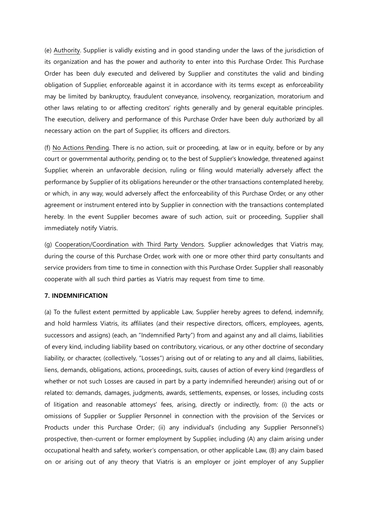(e) Authority. Supplier is validly existing and in good standing under the laws of the jurisdiction of its organization and has the power and authority to enter into this Purchase Order. This Purchase Order has been duly executed and delivered by Supplier and constitutes the valid and binding obligation of Supplier, enforceable against it in accordance with its terms except as enforceability may be limited by bankruptcy, fraudulent conveyance, insolvency, reorganization, moratorium and other laws relating to or affecting creditors' rights generally and by general equitable principles. The execution, delivery and performance of this Purchase Order have been duly authorized by all necessary action on the part of Supplier, its officers and directors.

(f) No Actions Pending. There is no action, suit or proceeding, at law or in equity, before or by any court or governmental authority, pending or, to the best of Supplier's knowledge, threatened against Supplier, wherein an unfavorable decision, ruling or filing would materially adversely affect the performance by Supplier of its obligations hereunder or the other transactions contemplated hereby, or which, in any way, would adversely affect the enforceability of this Purchase Order, or any other agreement or instrument entered into by Supplier in connection with the transactions contemplated hereby. In the event Supplier becomes aware of such action, suit or proceeding, Supplier shall immediately notify Viatris.

(g) Cooperation/Coordination with Third Party Vendors. Supplier acknowledges that Viatris may, during the course of this Purchase Order, work with one or more other third party consultants and service providers from time to time in connection with this Purchase Order. Supplier shall reasonably cooperate with all such third parties as Viatris may request from time to time.

## **7. INDEMNIFICATION**

(a) To the fullest extent permitted by applicable Law, Supplier hereby agrees to defend, indemnify, and hold harmless Viatris, its affiliates (and their respective directors, officers, employees, agents, successors and assigns) (each, an "Indemnified Party") from and against any and all claims, liabilities of every kind, including liability based on contributory, vicarious, or any other doctrine of secondary liability, or character, (collectively, "Losses") arising out of or relating to any and all claims, liabilities, liens, demands, obligations, actions, proceedings, suits, causes of action of every kind (regardless of whether or not such Losses are caused in part by a party indemnified hereunder) arising out of or related to: demands, damages, judgments, awards, settlements, expenses, or losses, including costs of litigation and reasonable attorneys' fees, arising, directly or indirectly, from: (i) the acts or omissions of Supplier or Supplier Personnel in connection with the provision of the Services or Products under this Purchase Order; (ii) any individual's (including any Supplier Personnel's) prospective, then-current or former employment by Supplier, including (A) any claim arising under occupational health and safety, worker's compensation, or other applicable Law, (B) any claim based on or arising out of any theory that Viatris is an employer or joint employer of any Supplier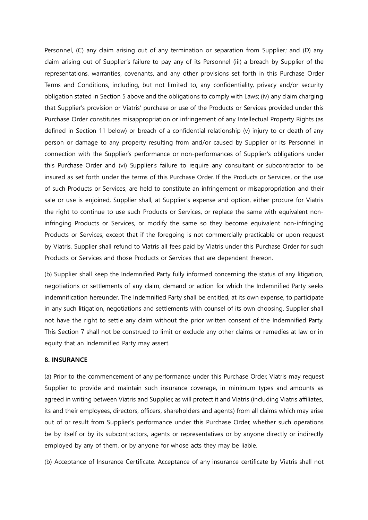Personnel, (C) any claim arising out of any termination or separation from Supplier; and (D) any claim arising out of Supplier's failure to pay any of its Personnel (iii) a breach by Supplier of the representations, warranties, covenants, and any other provisions set forth in this Purchase Order Terms and Conditions, including, but not limited to, any confidentiality, privacy and/or security obligation stated in Section 5 above and the obligations to comply with Laws; (iv) any claim charging that Supplier's provision or Viatris' purchase or use of the Products or Services provided under this Purchase Order constitutes misappropriation or infringement of any Intellectual Property Rights (as defined in Section 11 below) or breach of a confidential relationship (v) injury to or death of any person or damage to any property resulting from and/or caused by Supplier or its Personnel in connection with the Supplier's performance or non-performances of Supplier's obligations under this Purchase Order and (vi) Supplier's failure to require any consultant or subcontractor to be insured as set forth under the terms of this Purchase Order. If the Products or Services, or the use of such Products or Services, are held to constitute an infringement or misappropriation and their sale or use is enjoined, Supplier shall, at Supplier's expense and option, either procure for Viatris the right to continue to use such Products or Services, or replace the same with equivalent noninfringing Products or Services, or modify the same so they become equivalent non-infringing Products or Services; except that if the foregoing is not commercially practicable or upon request by Viatris, Supplier shall refund to Viatris all fees paid by Viatris under this Purchase Order for such Products or Services and those Products or Services that are dependent thereon.

(b) Supplier shall keep the Indemnified Party fully informed concerning the status of any litigation, negotiations or settlements of any claim, demand or action for which the Indemnified Party seeks indemnification hereunder. The Indemnified Party shall be entitled, at its own expense, to participate in any such litigation, negotiations and settlements with counsel of its own choosing. Supplier shall not have the right to settle any claim without the prior written consent of the Indemnified Party. This Section 7 shall not be construed to limit or exclude any other claims or remedies at law or in equity that an Indemnified Party may assert.

### **8. INSURANCE**

(a) Prior to the commencement of any performance under this Purchase Order, Viatris may request Supplier to provide and maintain such insurance coverage, in minimum types and amounts as agreed in writing between Viatris and Supplier, as will protect it and Viatris (including Viatris affiliates, its and their employees, directors, officers, shareholders and agents) from all claims which may arise out of or result from Supplier's performance under this Purchase Order, whether such operations be by itself or by its subcontractors, agents or representatives or by anyone directly or indirectly employed by any of them, or by anyone for whose acts they may be liable.

(b) Acceptance of Insurance Certificate. Acceptance of any insurance certificate by Viatris shall not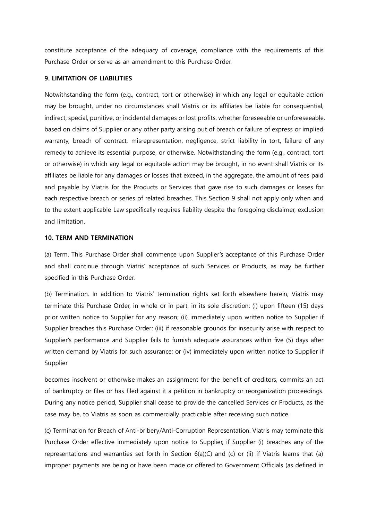constitute acceptance of the adequacy of coverage, compliance with the requirements of this Purchase Order or serve as an amendment to this Purchase Order.

## **9. LIMITATION OF LIABILITIES**

Notwithstanding the form (e.g., contract, tort or otherwise) in which any legal or equitable action may be brought, under no circumstances shall Viatris or its affiliates be liable for consequential, indirect, special, punitive, or incidental damages or lost profits, whether foreseeable or unforeseeable, based on claims of Supplier or any other party arising out of breach or failure of express or implied warranty, breach of contract, misrepresentation, negligence, strict liability in tort, failure of any remedy to achieve its essential purpose, or otherwise. Notwithstanding the form (e.g., contract, tort or otherwise) in which any legal or equitable action may be brought, in no event shall Viatris or its affiliates be liable for any damages or losses that exceed, in the aggregate, the amount of fees paid and payable by Viatris for the Products or Services that gave rise to such damages or losses for each respective breach or series of related breaches. This Section 9 shall not apply only when and to the extent applicable Law specifically requires liability despite the foregoing disclaimer, exclusion and limitation.

# **10. TERM AND TERMINATION**

(a) Term. This Purchase Order shall commence upon Supplier's acceptance of this Purchase Order and shall continue through Viatris' acceptance of such Services or Products, as may be further specified in this Purchase Order.

(b) Termination. In addition to Viatris' termination rights set forth elsewhere herein, Viatris may terminate this Purchase Order, in whole or in part, in its sole discretion: (i) upon fifteen (15) days prior written notice to Supplier for any reason; (ii) immediately upon written notice to Supplier if Supplier breaches this Purchase Order; (iii) if reasonable grounds for insecurity arise with respect to Supplier's performance and Supplier fails to furnish adequate assurances within five (5) days after written demand by Viatris for such assurance; or (iv) immediately upon written notice to Supplier if Supplier

becomes insolvent or otherwise makes an assignment for the benefit of creditors, commits an act of bankruptcy or files or has filed against it a petition in bankruptcy or reorganization proceedings. During any notice period, Supplier shall cease to provide the cancelled Services or Products, as the case may be, to Viatris as soon as commercially practicable after receiving such notice.

(c) Termination for Breach of Anti-bribery/Anti-Corruption Representation. Viatris may terminate this Purchase Order effective immediately upon notice to Supplier, if Supplier (i) breaches any of the representations and warranties set forth in Section  $6(a)(C)$  and  $(c)$  or (ii) if Viatris learns that (a) improper payments are being or have been made or offered to Government Officials (as defined in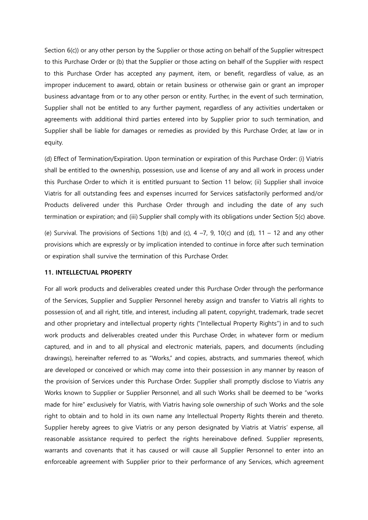Section 6(c)) or any other person by the Supplier or those acting on behalf of the Supplier witrespect to this Purchase Order or (b) that the Supplier or those acting on behalf of the Supplier with respect to this Purchase Order has accepted any payment, item, or benefit, regardless of value, as an improper inducement to award, obtain or retain business or otherwise gain or grant an improper business advantage from or to any other person or entity. Further, in the event of such termination, Supplier shall not be entitled to any further payment, regardless of any activities undertaken or agreements with additional third parties entered into by Supplier prior to such termination, and Supplier shall be liable for damages or remedies as provided by this Purchase Order, at law or in equity.

(d) Effect of Termination/Expiration. Upon termination or expiration of this Purchase Order: (i) Viatris shall be entitled to the ownership, possession, use and license of any and all work in process under this Purchase Order to which it is entitled pursuant to Section 11 below; (ii) Supplier shall invoice Viatris for all outstanding fees and expenses incurred for Services satisfactorily performed and/or Products delivered under this Purchase Order through and including the date of any such termination or expiration; and (iii) Supplier shall comply with its obligations under Section 5(c) above.

(e) Survival. The provisions of Sections 1(b) and (c),  $4 - 7$ , 9, 10(c) and (d), 11 – 12 and any other provisions which are expressly or by implication intended to continue in force after such termination or expiration shall survive the termination of this Purchase Order.

## **11. INTELLECTUAL PROPERTY**

For all work products and deliverables created under this Purchase Order through the performance of the Services, Supplier and Supplier Personnel hereby assign and transfer to Viatris all rights to possession of, and all right, title, and interest, including all patent, copyright, trademark, trade secret and other proprietary and intellectual property rights ("Intellectual Property Rights") in and to such work products and deliverables created under this Purchase Order, in whatever form or medium captured, and in and to all physical and electronic materials, papers, and documents (including drawings), hereinafter referred to as "Works," and copies, abstracts, and summaries thereof, which are developed or conceived or which may come into their possession in any manner by reason of the provision of Services under this Purchase Order. Supplier shall promptly disclose to Viatris any Works known to Supplier or Supplier Personnel, and all such Works shall be deemed to be "works made for hire" exclusively for Viatris, with Viatris having sole ownership of such Works and the sole right to obtain and to hold in its own name any Intellectual Property Rights therein and thereto. Supplier hereby agrees to give Viatris or any person designated by Viatris at Viatris' expense, all reasonable assistance required to perfect the rights hereinabove defined. Supplier represents, warrants and covenants that it has caused or will cause all Supplier Personnel to enter into an enforceable agreement with Supplier prior to their performance of any Services, which agreement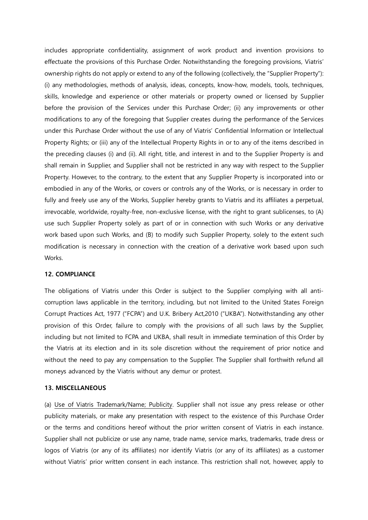includes appropriate confidentiality, assignment of work product and invention provisions to effectuate the provisions of this Purchase Order. Notwithstanding the foregoing provisions, Viatris' ownership rights do not apply or extend to any of the following (collectively, the "Supplier Property"): (i) any methodologies, methods of analysis, ideas, concepts, know-how, models, tools, techniques, skills, knowledge and experience or other materials or property owned or licensed by Supplier before the provision of the Services under this Purchase Order; (ii) any improvements or other modifications to any of the foregoing that Supplier creates during the performance of the Services under this Purchase Order without the use of any of Viatris' Confidential Information or Intellectual Property Rights; or (iii) any of the Intellectual Property Rights in or to any of the items described in the preceding clauses (i) and (ii). All right, title, and interest in and to the Supplier Property is and shall remain in Supplier, and Supplier shall not be restricted in any way with respect to the Supplier Property. However, to the contrary, to the extent that any Supplier Property is incorporated into or embodied in any of the Works, or covers or controls any of the Works, or is necessary in order to fully and freely use any of the Works, Supplier hereby grants to Viatris and its affiliates a perpetual, irrevocable, worldwide, royalty-free, non-exclusive license, with the right to grant sublicenses, to (A) use such Supplier Property solely as part of or in connection with such Works or any derivative work based upon such Works, and (B) to modify such Supplier Property, solely to the extent such modification is necessary in connection with the creation of a derivative work based upon such Works.

## **12. COMPLIANCE**

The obligations of Viatris under this Order is subject to the Supplier complying with all anticorruption laws applicable in the territory, including, but not limited to the United States Foreign Corrupt Practices Act, 1977 ("FCPA") and U.K. Bribery Act,2010 ("UKBA"). Notwithstanding any other provision of this Order, failure to comply with the provisions of all such laws by the Supplier, including but not limited to FCPA and UKBA, shall result in immediate termination of this Order by the Viatris at its election and in its sole discretion without the requirement of prior notice and without the need to pay any compensation to the Supplier. The Supplier shall forthwith refund all moneys advanced by the Viatris without any demur or protest.

#### **13. MISCELLANEOUS**

(a) Use of Viatris Trademark/Name; Publicity. Supplier shall not issue any press release or other publicity materials, or make any presentation with respect to the existence of this Purchase Order or the terms and conditions hereof without the prior written consent of Viatris in each instance. Supplier shall not publicize or use any name, trade name, service marks, trademarks, trade dress or logos of Viatris (or any of its affiliates) nor identify Viatris (or any of its affiliates) as a customer without Viatris' prior written consent in each instance. This restriction shall not, however, apply to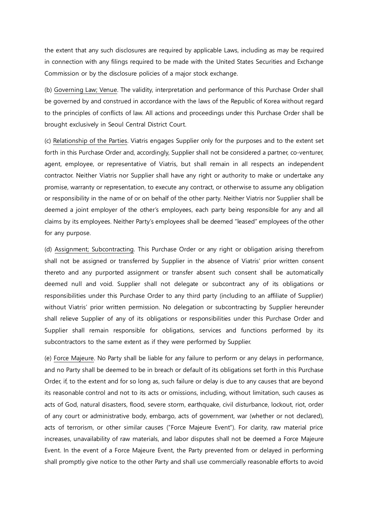the extent that any such disclosures are required by applicable Laws, including as may be required in connection with any filings required to be made with the United States Securities and Exchange Commission or by the disclosure policies of a major stock exchange.

(b) Governing Law; Venue. The validity, interpretation and performance of this Purchase Order shall be governed by and construed in accordance with the laws of the Republic of Korea without regard to the principles of conflicts of law. All actions and proceedings under this Purchase Order shall be brought exclusively in Seoul Central District Court.

(c) Relationship of the Parties. Viatris engages Supplier only for the purposes and to the extent set forth in this Purchase Order and, accordingly, Supplier shall not be considered a partner, co-venturer, agent, employee, or representative of Viatris, but shall remain in all respects an independent contractor. Neither Viatris nor Supplier shall have any right or authority to make or undertake any promise, warranty or representation, to execute any contract, or otherwise to assume any obligation or responsibility in the name of or on behalf of the other party. Neither Viatris nor Supplier shall be deemed a joint employer of the other's employees, each party being responsible for any and all claims by its employees. Neither Party's employees shall be deemed "leased" employees of the other for any purpose.

(d) Assignment; Subcontracting. This Purchase Order or any right or obligation arising therefrom shall not be assigned or transferred by Supplier in the absence of Viatris' prior written consent thereto and any purported assignment or transfer absent such consent shall be automatically deemed null and void. Supplier shall not delegate or subcontract any of its obligations or responsibilities under this Purchase Order to any third party (including to an affiliate of Supplier) without Viatris' prior written permission. No delegation or subcontracting by Supplier hereunder shall relieve Supplier of any of its obligations or responsibilities under this Purchase Order and Supplier shall remain responsible for obligations, services and functions performed by its subcontractors to the same extent as if they were performed by Supplier.

(e) Force Majeure. No Party shall be liable for any failure to perform or any delays in performance, and no Party shall be deemed to be in breach or default of its obligations set forth in this Purchase Order, if, to the extent and for so long as, such failure or delay is due to any causes that are beyond its reasonable control and not to its acts or omissions, including, without limitation, such causes as acts of God, natural disasters, flood, severe storm, earthquake, civil disturbance, lockout, riot, order of any court or administrative body, embargo, acts of government, war (whether or not declared), acts of terrorism, or other similar causes ("Force Majeure Event"). For clarity, raw material price increases, unavailability of raw materials, and labor disputes shall not be deemed a Force Majeure Event. In the event of a Force Majeure Event, the Party prevented from or delayed in performing shall promptly give notice to the other Party and shall use commercially reasonable efforts to avoid